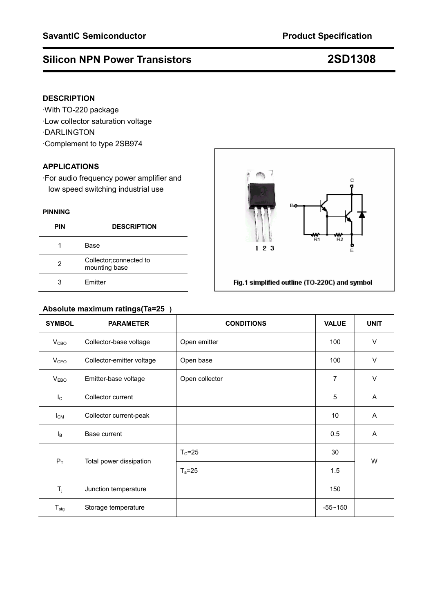# **Silicon NPN Power Transistors 2SD1308**

## **DESCRIPTION**

·With TO-220 package ·Low collector saturation voltage ·DARLINGTON ·Complement to type 2SB974

## **APPLICATIONS**

·For audio frequency power amplifier and low speed switching industrial use

## **PINNING**

| <b>PIN</b> | <b>DESCRIPTION</b>                      |  |
|------------|-----------------------------------------|--|
|            | Base                                    |  |
| 2          | Collector;connected to<br>mounting base |  |
|            | Emitter                                 |  |

# R1  $123$

Fig.1 simplified outline (TO-220C) and symbol

# **Absolute maximum ratings(Ta=25) SYMBOL PARAMETER CONDITIONS VALUE UNIT**   $V_{\text{CBO}}$  Collector-base voltage  $\vert$  Open emitter  $\vert$  100  $\vert$  V  $V_{CEO}$  Collector-emitter voltage  $\vert$  Open base  $\vert$  100  $\vert$  V  $V_{EBO}$  Emitter-base voltage  $\vert$  Open collector  $\vert$  7  $\vert$  V IC Collector current 5 A  $I_{CM}$  Collector current-peak  $10$  A  $I_B$  Base current  $I_B$  Base current and  $I_B$  Base current and  $I_B$  $T_c = 25$  30  $P_T$  | Total power dissipation  $T_a=25$  1.5 W  $T_j$  Junction temperature 150  $T_{\text{stg}}$  Storage temperature  $\vert$   $-55 \sim 150$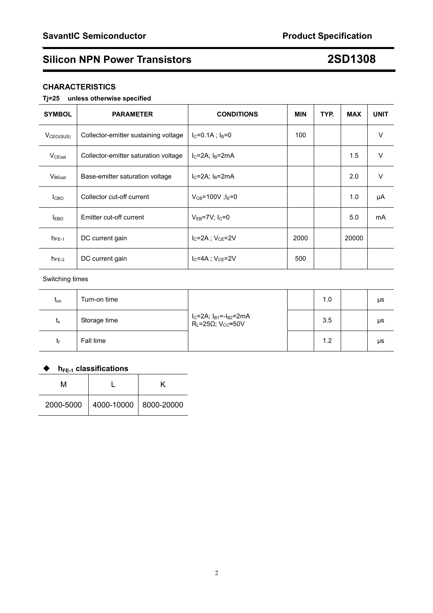# **Silicon NPN Power Transistors 2SD1308**

## **CHARACTERISTICS**

## **Tj=25 unless otherwise specified**

| <b>SYMBOL</b>         | <b>PARAMETER</b>                     | <b>CONDITIONS</b>                   | <b>MIN</b> | TYP. | <b>MAX</b> | <b>UNIT</b> |
|-----------------------|--------------------------------------|-------------------------------------|------------|------|------------|-------------|
| V <sub>CEO(SUS)</sub> | Collector-emitter sustaining voltage | $I_C = 0.1A$ ; $I_B = 0$            | 100        |      |            | V           |
| $V_{CEsat}$           | Collector-emitter saturation voltage | $I_C = 2A$ ; $I_B = 2mA$            |            |      | 1.5        | V           |
| $V_{\text{BEsat}}$    | Base-emitter saturation voltage      | $IC=2A$ ; $IB=2mA$                  |            |      | 2.0        | V           |
| Iсво                  | Collector cut-off current            | $V_{CB} = 100V$ ; l <sub>E</sub> =0 |            |      | 1.0        | μA          |
| I <sub>EBO</sub>      | Emitter cut-off current              | $V_{EB} = 7V$ ; $I_C = 0$           |            |      | 5.0        | mA          |
| $h_{FE-1}$            | DC current gain                      | $I_{C}$ =2A : $V_{CF}$ =2V          | 2000       |      | 20000      |             |
| $h_{FE-2}$            | DC current gain                      | $I_{C} = 4A$ : $V_{CE} = 2V$        | 500        |      |            |             |

## Switching times

| $t_{\text{on}}$ | Turn-on time |                                                                                         | 1.0 | μs |
|-----------------|--------------|-----------------------------------------------------------------------------------------|-----|----|
| $t_{\rm s}$     | Storage time | $I_C = 2A$ ; $I_B_1 = -I_B_2 = 2mA$<br>$R_L = 25\Omega$ ; V <sub>CC</sub> $\approx 50V$ | 3.5 | μs |
|                 | Fall time    |                                                                                         | 1.2 | μs |

## ◆ h<sub>FE-1</sub> classifications

| м |                                     |  |  |  |  |  |
|---|-------------------------------------|--|--|--|--|--|
|   | 2000-5000   4000-10000   8000-20000 |  |  |  |  |  |